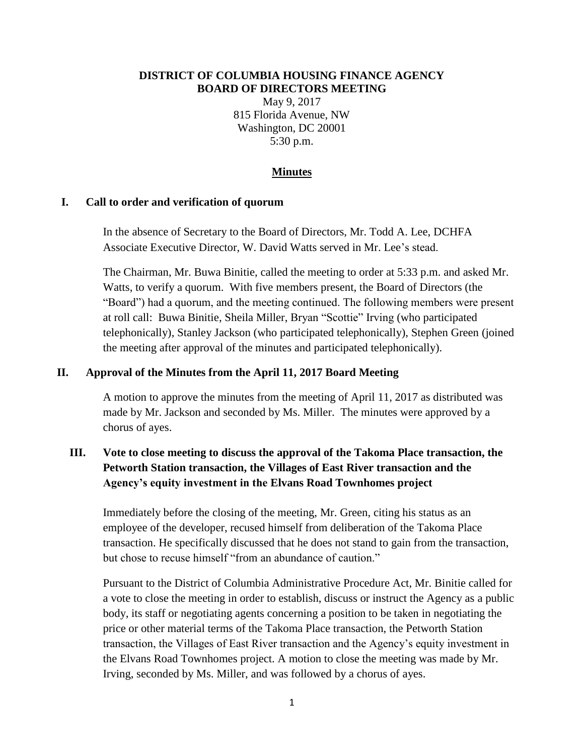#### **DISTRICT OF COLUMBIA HOUSING FINANCE AGENCY BOARD OF DIRECTORS MEETING**

May 9, 2017 815 Florida Avenue, NW Washington, DC 20001 5:30 p.m.

#### **Minutes**

#### **I. Call to order and verification of quorum**

In the absence of Secretary to the Board of Directors, Mr. Todd A. Lee, DCHFA Associate Executive Director, W. David Watts served in Mr. Lee's stead.

The Chairman, Mr. Buwa Binitie, called the meeting to order at 5:33 p.m. and asked Mr. Watts, to verify a quorum. With five members present, the Board of Directors (the "Board") had a quorum, and the meeting continued. The following members were present at roll call: Buwa Binitie, Sheila Miller, Bryan "Scottie" Irving (who participated telephonically), Stanley Jackson (who participated telephonically), Stephen Green (joined the meeting after approval of the minutes and participated telephonically).

#### **II. Approval of the Minutes from the April 11, 2017 Board Meeting**

A motion to approve the minutes from the meeting of April 11, 2017 as distributed was made by Mr. Jackson and seconded by Ms. Miller. The minutes were approved by a chorus of ayes.

# **III. Vote to close meeting to discuss the approval of the Takoma Place transaction, the Petworth Station transaction, the Villages of East River transaction and the Agency's equity investment in the Elvans Road Townhomes project**

Immediately before the closing of the meeting, Mr. Green, citing his status as an employee of the developer, recused himself from deliberation of the Takoma Place transaction. He specifically discussed that he does not stand to gain from the transaction, but chose to recuse himself "from an abundance of caution"

Pursuant to the District of Columbia Administrative Procedure Act, Mr. Binitie called for a vote to close the meeting in order to establish, discuss or instruct the Agency as a public body, its staff or negotiating agents concerning a position to be taken in negotiating the price or other material terms of the Takoma Place transaction, the Petworth Station transaction, the Villages of East River transaction and the Agency's equity investment in the Elvans Road Townhomes project. A motion to close the meeting was made by Mr. Irving, seconded by Ms. Miller, and was followed by a chorus of ayes.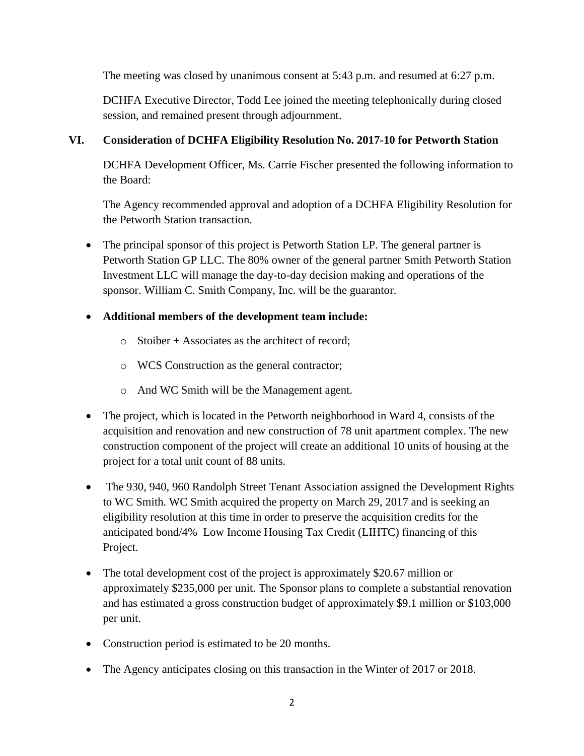The meeting was closed by unanimous consent at 5:43 p.m. and resumed at 6:27 p.m.

DCHFA Executive Director, Todd Lee joined the meeting telephonically during closed session, and remained present through adjournment.

## **VI. Consideration of DCHFA Eligibility Resolution No. 2017-10 for Petworth Station**

DCHFA Development Officer, Ms. Carrie Fischer presented the following information to the Board:

The Agency recommended approval and adoption of a DCHFA Eligibility Resolution for the Petworth Station transaction.

 The principal sponsor of this project is Petworth Station LP. The general partner is Petworth Station GP LLC. The 80% owner of the general partner Smith Petworth Station Investment LLC will manage the day-to-day decision making and operations of the sponsor. William C. Smith Company, Inc. will be the guarantor.

## **Additional members of the development team include:**

- o Stoiber + Associates as the architect of record;
- o WCS Construction as the general contractor;
- o And WC Smith will be the Management agent.
- The project, which is located in the Petworth neighborhood in Ward 4, consists of the acquisition and renovation and new construction of 78 unit apartment complex. The new construction component of the project will create an additional 10 units of housing at the project for a total unit count of 88 units.
- The 930, 940, 960 Randolph Street Tenant Association assigned the Development Rights to WC Smith. WC Smith acquired the property on March 29, 2017 and is seeking an eligibility resolution at this time in order to preserve the acquisition credits for the anticipated bond/4% Low Income Housing Tax Credit (LIHTC) financing of this Project.
- The total development cost of the project is approximately \$20.67 million or approximately \$235,000 per unit. The Sponsor plans to complete a substantial renovation and has estimated a gross construction budget of approximately \$9.1 million or \$103,000 per unit.
- Construction period is estimated to be 20 months.
- The Agency anticipates closing on this transaction in the Winter of 2017 or 2018.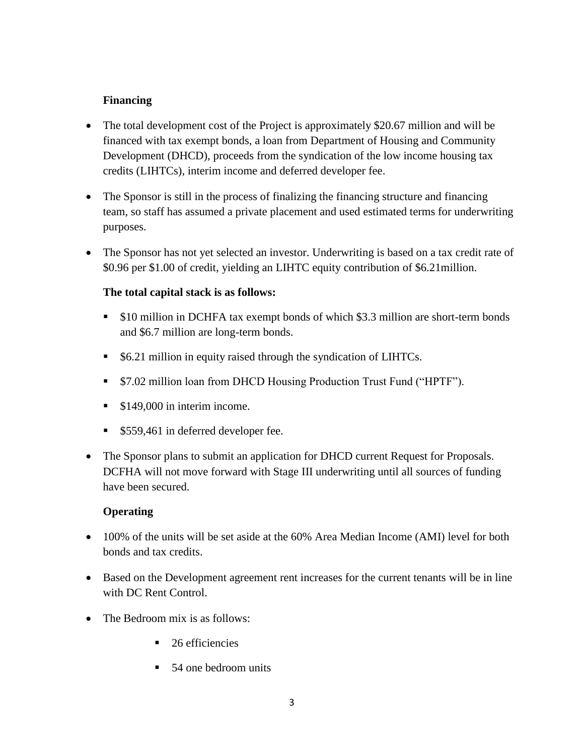# **Financing**

- The total development cost of the Project is approximately \$20.67 million and will be financed with tax exempt bonds, a loan from Department of Housing and Community Development (DHCD), proceeds from the syndication of the low income housing tax credits (LIHTCs), interim income and deferred developer fee.
- The Sponsor is still in the process of finalizing the financing structure and financing team, so staff has assumed a private placement and used estimated terms for underwriting purposes.
- The Sponsor has not yet selected an investor. Underwriting is based on a tax credit rate of \$0.96 per \$1.00 of credit, yielding an LIHTC equity contribution of \$6.21million.

## **The total capital stack is as follows:**

- \$10 million in DCHFA tax exempt bonds of which \$3.3 million are short-term bonds and \$6.7 million are long-term bonds.
- **56.21 million in equity raised through the syndication of LIHTCs.**
- \$7.02 million loan from DHCD Housing Production Trust Fund ("HPTF").
- **S149,000 in interim income.**
- \$559,461 in deferred developer fee.
- The Sponsor plans to submit an application for DHCD current Request for Proposals. DCFHA will not move forward with Stage III underwriting until all sources of funding have been secured.

## **Operating**

- 100% of the units will be set aside at the 60% Area Median Income (AMI) level for both bonds and tax credits.
- Based on the Development agreement rent increases for the current tenants will be in line with DC Rent Control.
- The Bedroom mix is as follows:
	- $\blacksquare$  26 efficiencies
	- 54 one bedroom units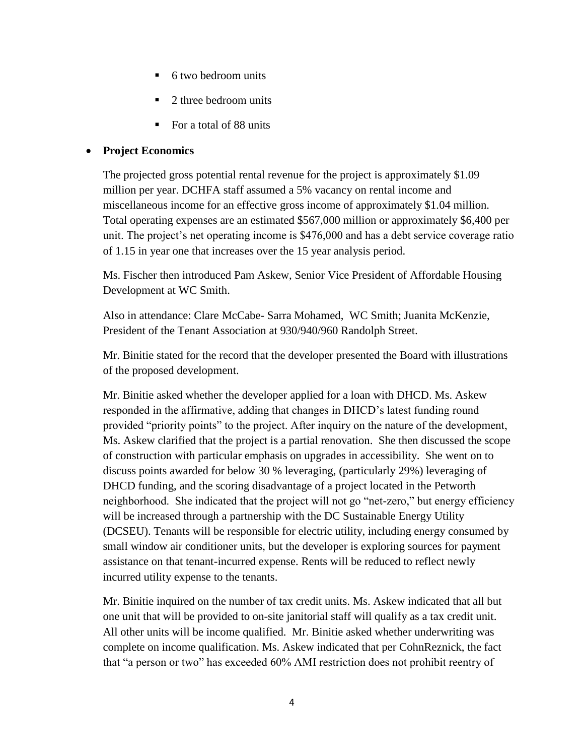- 6 two bedroom units
- 2 three bedroom units
- For a total of 88 units

## **Project Economics**

The projected gross potential rental revenue for the project is approximately \$1.09 million per year. DCHFA staff assumed a 5% vacancy on rental income and miscellaneous income for an effective gross income of approximately \$1.04 million. Total operating expenses are an estimated \$567,000 million or approximately \$6,400 per unit. The project's net operating income is \$476,000 and has a debt service coverage ratio of 1.15 in year one that increases over the 15 year analysis period.

Ms. Fischer then introduced Pam Askew, Senior Vice President of Affordable Housing Development at WC Smith.

Also in attendance: Clare McCabe- Sarra Mohamed, WC Smith; Juanita McKenzie, President of the Tenant Association at 930/940/960 Randolph Street.

Mr. Binitie stated for the record that the developer presented the Board with illustrations of the proposed development.

Mr. Binitie asked whether the developer applied for a loan with DHCD. Ms. Askew responded in the affirmative, adding that changes in DHCD's latest funding round provided "priority points" to the project. After inquiry on the nature of the development, Ms. Askew clarified that the project is a partial renovation. She then discussed the scope of construction with particular emphasis on upgrades in accessibility. She went on to discuss points awarded for below 30 % leveraging, (particularly 29%) leveraging of DHCD funding, and the scoring disadvantage of a project located in the Petworth neighborhood. She indicated that the project will not go "net-zero," but energy efficiency will be increased through a partnership with the DC Sustainable Energy Utility (DCSEU). Tenants will be responsible for electric utility, including energy consumed by small window air conditioner units, but the developer is exploring sources for payment assistance on that tenant-incurred expense. Rents will be reduced to reflect newly incurred utility expense to the tenants.

Mr. Binitie inquired on the number of tax credit units. Ms. Askew indicated that all but one unit that will be provided to on-site janitorial staff will qualify as a tax credit unit. All other units will be income qualified. Mr. Binitie asked whether underwriting was complete on income qualification. Ms. Askew indicated that per CohnReznick, the fact that "a person or two" has exceeded 60% AMI restriction does not prohibit reentry of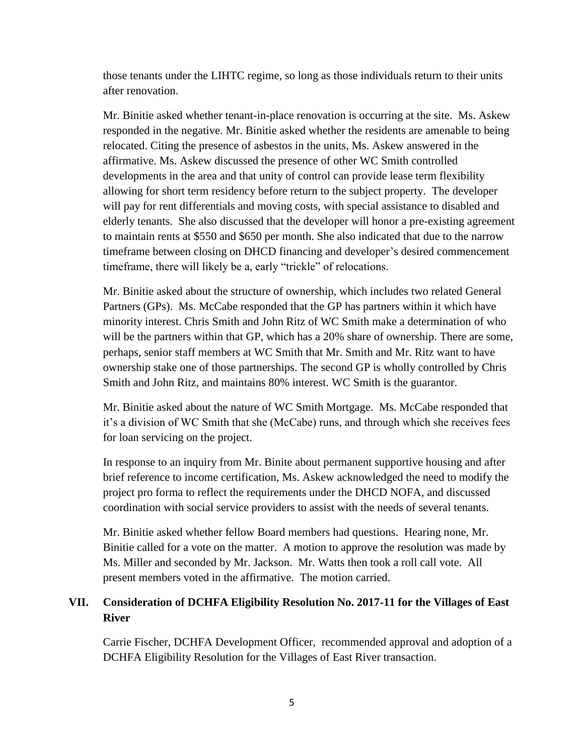those tenants under the LIHTC regime, so long as those individuals return to their units after renovation.

Mr. Binitie asked whether tenant-in-place renovation is occurring at the site. Ms. Askew responded in the negative. Mr. Binitie asked whether the residents are amenable to being relocated. Citing the presence of asbestos in the units, Ms. Askew answered in the affirmative. Ms. Askew discussed the presence of other WC Smith controlled developments in the area and that unity of control can provide lease term flexibility allowing for short term residency before return to the subject property. The developer will pay for rent differentials and moving costs, with special assistance to disabled and elderly tenants. She also discussed that the developer will honor a pre-existing agreement to maintain rents at \$550 and \$650 per month. She also indicated that due to the narrow timeframe between closing on DHCD financing and developer's desired commencement timeframe, there will likely be a, early "trickle" of relocations.

Mr. Binitie asked about the structure of ownership, which includes two related General Partners (GPs). Ms. McCabe responded that the GP has partners within it which have minority interest. Chris Smith and John Ritz of WC Smith make a determination of who will be the partners within that GP, which has a 20% share of ownership. There are some, perhaps, senior staff members at WC Smith that Mr. Smith and Mr. Ritz want to have ownership stake one of those partnerships. The second GP is wholly controlled by Chris Smith and John Ritz, and maintains 80% interest. WC Smith is the guarantor.

Mr. Binitie asked about the nature of WC Smith Mortgage. Ms. McCabe responded that it's a division of WC Smith that she (McCabe) runs, and through which she receives fees for loan servicing on the project.

In response to an inquiry from Mr. Binite about permanent supportive housing and after brief reference to income certification, Ms. Askew acknowledged the need to modify the project pro forma to reflect the requirements under the DHCD NOFA, and discussed coordination with social service providers to assist with the needs of several tenants.

Mr. Binitie asked whether fellow Board members had questions. Hearing none, Mr. Binitie called for a vote on the matter. A motion to approve the resolution was made by Ms. Miller and seconded by Mr. Jackson. Mr. Watts then took a roll call vote. All present members voted in the affirmative. The motion carried.

## **VII. Consideration of DCHFA Eligibility Resolution No. 2017-11 for the Villages of East River**

Carrie Fischer, DCHFA Development Officer, recommended approval and adoption of a DCHFA Eligibility Resolution for the Villages of East River transaction.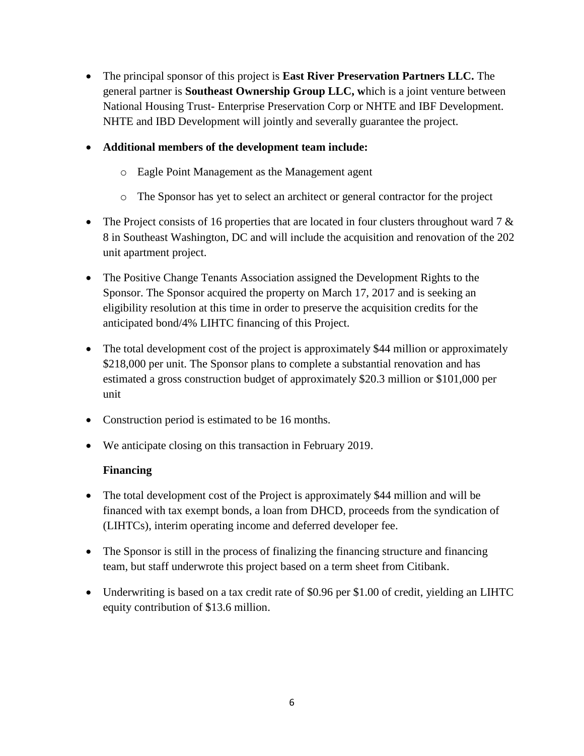- The principal sponsor of this project is **East River Preservation Partners LLC.** The general partner is **Southeast Ownership Group LLC, w**hich is a joint venture between National Housing Trust- Enterprise Preservation Corp or NHTE and IBF Development. NHTE and IBD Development will jointly and severally guarantee the project.
- **Additional members of the development team include:**
	- o Eagle Point Management as the Management agent
	- o The Sponsor has yet to select an architect or general contractor for the project
- The Project consists of 16 properties that are located in four clusters throughout ward 7  $\&$ 8 in Southeast Washington, DC and will include the acquisition and renovation of the 202 unit apartment project.
- The Positive Change Tenants Association assigned the Development Rights to the Sponsor. The Sponsor acquired the property on March 17, 2017 and is seeking an eligibility resolution at this time in order to preserve the acquisition credits for the anticipated bond/4% LIHTC financing of this Project.
- The total development cost of the project is approximately \$44 million or approximately \$218,000 per unit. The Sponsor plans to complete a substantial renovation and has estimated a gross construction budget of approximately \$20.3 million or \$101,000 per unit
- Construction period is estimated to be 16 months.
- We anticipate closing on this transaction in February 2019.

## **Financing**

- The total development cost of the Project is approximately \$44 million and will be financed with tax exempt bonds, a loan from DHCD, proceeds from the syndication of (LIHTCs), interim operating income and deferred developer fee.
- The Sponsor is still in the process of finalizing the financing structure and financing team, but staff underwrote this project based on a term sheet from Citibank.
- Underwriting is based on a tax credit rate of \$0.96 per \$1.00 of credit, yielding an LIHTC equity contribution of \$13.6 million.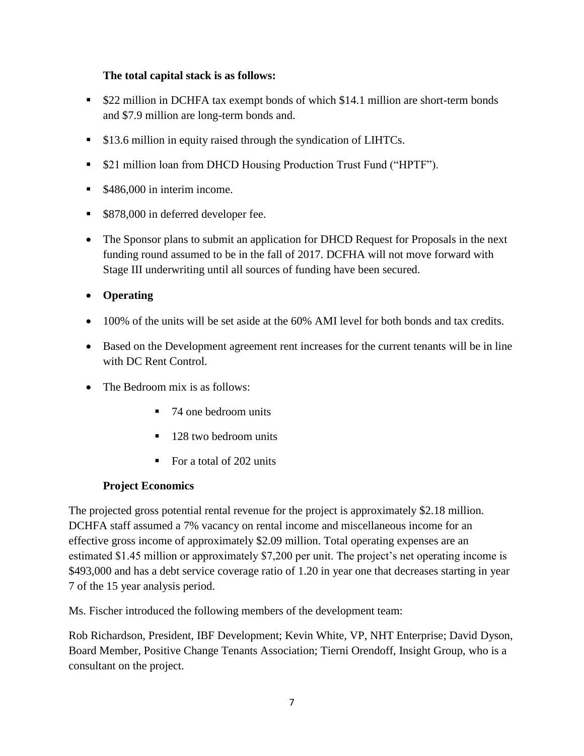## **The total capital stack is as follows:**

- \$22 million in DCHFA tax exempt bonds of which \$14.1 million are short-term bonds and \$7.9 million are long-term bonds and.
- **S**13.6 million in equity raised through the syndication of LIHTCs.
- \$21 million loan from DHCD Housing Production Trust Fund ("HPTF").
- **S486,000 in interim income.**
- \$878,000 in deferred developer fee.
- The Sponsor plans to submit an application for DHCD Request for Proposals in the next funding round assumed to be in the fall of 2017. DCFHA will not move forward with Stage III underwriting until all sources of funding have been secured.
- **Operating**
- 100% of the units will be set aside at the 60% AMI level for both bonds and tax credits.
- Based on the Development agreement rent increases for the current tenants will be in line with DC Rent Control.
- The Bedroom mix is as follows:
	- 74 one bedroom units
	- 128 two bedroom units
	- For a total of 202 units

## **Project Economics**

The projected gross potential rental revenue for the project is approximately \$2.18 million. DCHFA staff assumed a 7% vacancy on rental income and miscellaneous income for an effective gross income of approximately \$2.09 million. Total operating expenses are an estimated \$1.45 million or approximately \$7,200 per unit. The project's net operating income is \$493,000 and has a debt service coverage ratio of 1.20 in year one that decreases starting in year 7 of the 15 year analysis period.

Ms. Fischer introduced the following members of the development team:

Rob Richardson, President, IBF Development; Kevin White, VP, NHT Enterprise; David Dyson, Board Member, Positive Change Tenants Association; Tierni Orendoff, Insight Group, who is a consultant on the project.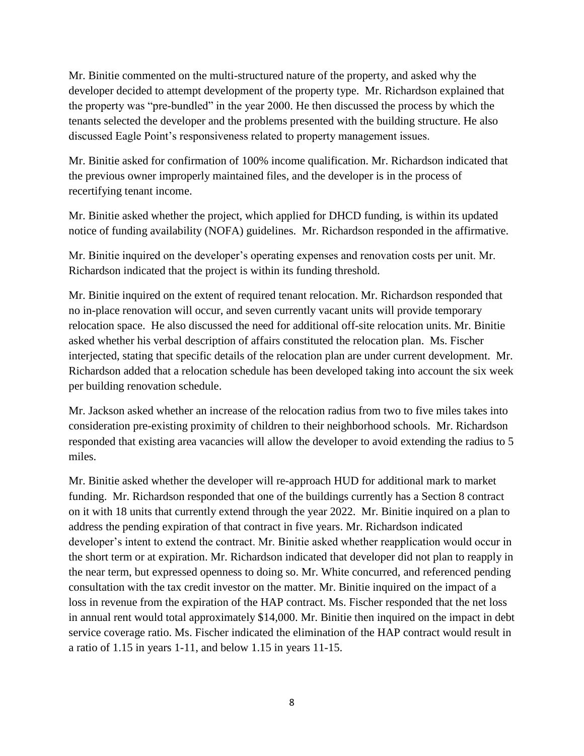Mr. Binitie commented on the multi-structured nature of the property, and asked why the developer decided to attempt development of the property type. Mr. Richardson explained that the property was "pre-bundled" in the year 2000. He then discussed the process by which the tenants selected the developer and the problems presented with the building structure. He also discussed Eagle Point's responsiveness related to property management issues.

Mr. Binitie asked for confirmation of 100% income qualification. Mr. Richardson indicated that the previous owner improperly maintained files, and the developer is in the process of recertifying tenant income.

Mr. Binitie asked whether the project, which applied for DHCD funding, is within its updated notice of funding availability (NOFA) guidelines. Mr. Richardson responded in the affirmative.

Mr. Binitie inquired on the developer's operating expenses and renovation costs per unit. Mr. Richardson indicated that the project is within its funding threshold.

Mr. Binitie inquired on the extent of required tenant relocation. Mr. Richardson responded that no in-place renovation will occur, and seven currently vacant units will provide temporary relocation space. He also discussed the need for additional off-site relocation units. Mr. Binitie asked whether his verbal description of affairs constituted the relocation plan. Ms. Fischer interjected, stating that specific details of the relocation plan are under current development. Mr. Richardson added that a relocation schedule has been developed taking into account the six week per building renovation schedule.

Mr. Jackson asked whether an increase of the relocation radius from two to five miles takes into consideration pre-existing proximity of children to their neighborhood schools. Mr. Richardson responded that existing area vacancies will allow the developer to avoid extending the radius to 5 miles.

Mr. Binitie asked whether the developer will re-approach HUD for additional mark to market funding. Mr. Richardson responded that one of the buildings currently has a Section 8 contract on it with 18 units that currently extend through the year 2022. Mr. Binitie inquired on a plan to address the pending expiration of that contract in five years. Mr. Richardson indicated developer's intent to extend the contract. Mr. Binitie asked whether reapplication would occur in the short term or at expiration. Mr. Richardson indicated that developer did not plan to reapply in the near term, but expressed openness to doing so. Mr. White concurred, and referenced pending consultation with the tax credit investor on the matter. Mr. Binitie inquired on the impact of a loss in revenue from the expiration of the HAP contract. Ms. Fischer responded that the net loss in annual rent would total approximately \$14,000. Mr. Binitie then inquired on the impact in debt service coverage ratio. Ms. Fischer indicated the elimination of the HAP contract would result in a ratio of 1.15 in years 1-11, and below 1.15 in years 11-15.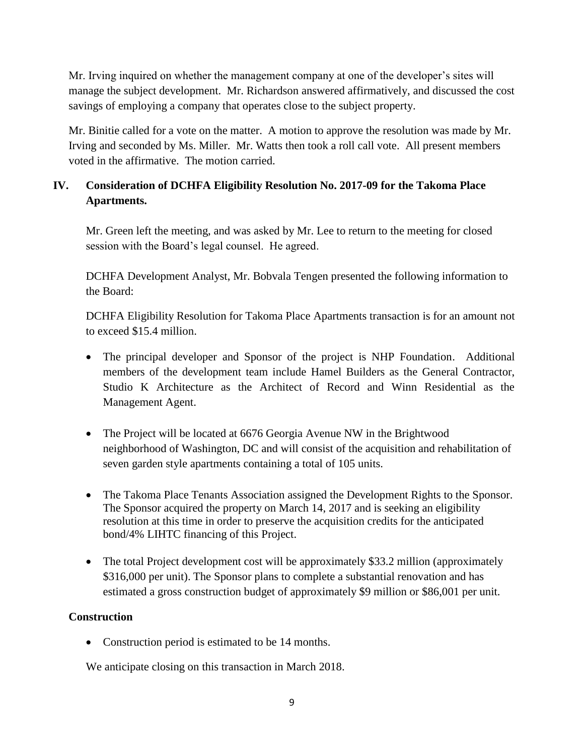Mr. Irving inquired on whether the management company at one of the developer's sites will manage the subject development. Mr. Richardson answered affirmatively, and discussed the cost savings of employing a company that operates close to the subject property.

Mr. Binitie called for a vote on the matter. A motion to approve the resolution was made by Mr. Irving and seconded by Ms. Miller. Mr. Watts then took a roll call vote. All present members voted in the affirmative. The motion carried.

# **IV. Consideration of DCHFA Eligibility Resolution No. 2017-09 for the Takoma Place Apartments.**

Mr. Green left the meeting, and was asked by Mr. Lee to return to the meeting for closed session with the Board's legal counsel. He agreed.

DCHFA Development Analyst, Mr. Bobvala Tengen presented the following information to the Board:

DCHFA Eligibility Resolution for Takoma Place Apartments transaction is for an amount not to exceed \$15.4 million.

- The principal developer and Sponsor of the project is NHP Foundation. Additional members of the development team include Hamel Builders as the General Contractor, Studio K Architecture as the Architect of Record and Winn Residential as the Management Agent.
- The Project will be located at 6676 Georgia Avenue NW in the Brightwood neighborhood of Washington, DC and will consist of the acquisition and rehabilitation of seven garden style apartments containing a total of 105 units.
- The Takoma Place Tenants Association assigned the Development Rights to the Sponsor. The Sponsor acquired the property on March 14, 2017 and is seeking an eligibility resolution at this time in order to preserve the acquisition credits for the anticipated bond/4% LIHTC financing of this Project.
- The total Project development cost will be approximately \$33.2 million (approximately \$316,000 per unit). The Sponsor plans to complete a substantial renovation and has estimated a gross construction budget of approximately \$9 million or \$86,001 per unit.

# **Construction**

• Construction period is estimated to be 14 months.

We anticipate closing on this transaction in March 2018.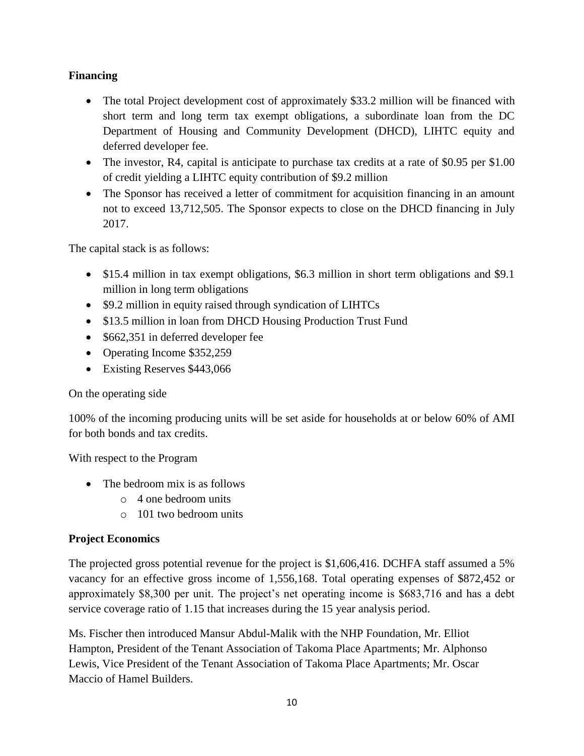# **Financing**

- The total Project development cost of approximately \$33.2 million will be financed with short term and long term tax exempt obligations, a subordinate loan from the DC Department of Housing and Community Development (DHCD), LIHTC equity and deferred developer fee.
- The investor, R4, capital is anticipate to purchase tax credits at a rate of \$0.95 per \$1.00 of credit yielding a LIHTC equity contribution of \$9.2 million
- The Sponsor has received a letter of commitment for acquisition financing in an amount not to exceed 13,712,505. The Sponsor expects to close on the DHCD financing in July 2017.

The capital stack is as follows:

- \$15.4 million in tax exempt obligations, \$6.3 million in short term obligations and \$9.1 million in long term obligations
- \$9.2 million in equity raised through syndication of LIHTCs
- \$13.5 million in loan from DHCD Housing Production Trust Fund
- \$662,351 in deferred developer fee
- Operating Income \$352,259
- Existing Reserves \$443,066

#### On the operating side

100% of the incoming producing units will be set aside for households at or below 60% of AMI for both bonds and tax credits.

With respect to the Program

- The bedroom mix is as follows
	- o 4 one bedroom units
	- o 101 two bedroom units

## **Project Economics**

The projected gross potential revenue for the project is \$1,606,416. DCHFA staff assumed a 5% vacancy for an effective gross income of 1,556,168. Total operating expenses of \$872,452 or approximately \$8,300 per unit. The project's net operating income is \$683,716 and has a debt service coverage ratio of 1.15 that increases during the 15 year analysis period.

Ms. Fischer then introduced Mansur Abdul-Malik with the NHP Foundation, Mr. Elliot Hampton, President of the Tenant Association of Takoma Place Apartments; Mr. Alphonso Lewis, Vice President of the Tenant Association of Takoma Place Apartments; Mr. Oscar Maccio of Hamel Builders.